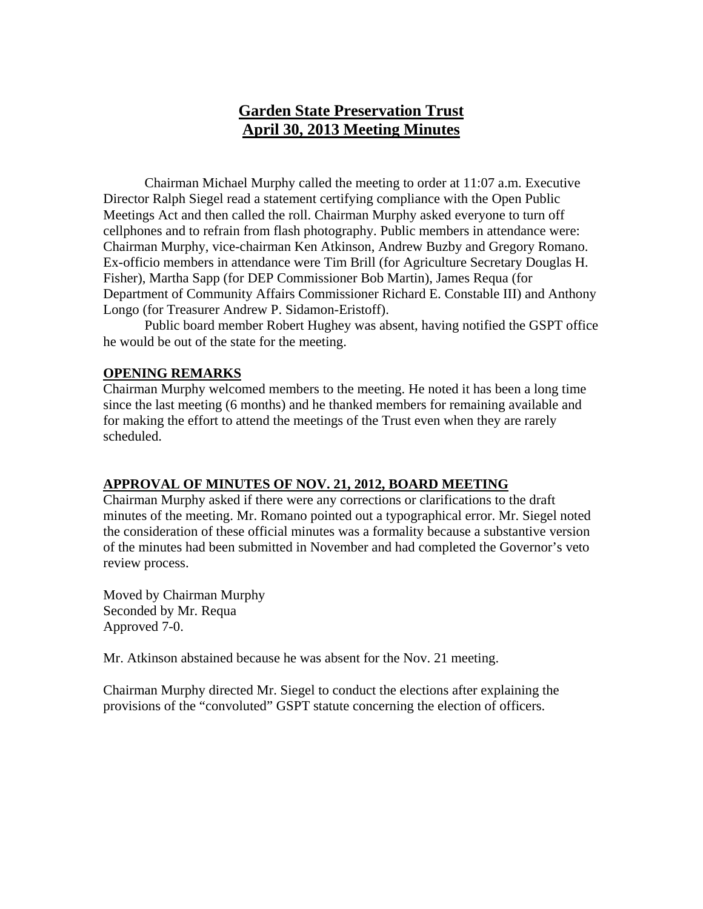# **Garden State Preservation Trust April 30, 2013 Meeting Minutes**

Chairman Michael Murphy called the meeting to order at 11:07 a.m. Executive Director Ralph Siegel read a statement certifying compliance with the Open Public Meetings Act and then called the roll. Chairman Murphy asked everyone to turn off cellphones and to refrain from flash photography. Public members in attendance were: Chairman Murphy, vice-chairman Ken Atkinson, Andrew Buzby and Gregory Romano. Ex-officio members in attendance were Tim Brill (for Agriculture Secretary Douglas H. Fisher), Martha Sapp (for DEP Commissioner Bob Martin), James Requa (for Department of Community Affairs Commissioner Richard E. Constable III) and Anthony Longo (for Treasurer Andrew P. Sidamon-Eristoff).

Public board member Robert Hughey was absent, having notified the GSPT office he would be out of the state for the meeting.

### **OPENING REMARKS**

Chairman Murphy welcomed members to the meeting. He noted it has been a long time since the last meeting (6 months) and he thanked members for remaining available and for making the effort to attend the meetings of the Trust even when they are rarely scheduled.

# **APPROVAL OF MINUTES OF NOV. 21, 2012, BOARD MEETING**

Chairman Murphy asked if there were any corrections or clarifications to the draft minutes of the meeting. Mr. Romano pointed out a typographical error. Mr. Siegel noted the consideration of these official minutes was a formality because a substantive version of the minutes had been submitted in November and had completed the Governor's veto review process.

Moved by Chairman Murphy Seconded by Mr. Requa Approved 7-0.

Mr. Atkinson abstained because he was absent for the Nov. 21 meeting.

Chairman Murphy directed Mr. Siegel to conduct the elections after explaining the provisions of the "convoluted" GSPT statute concerning the election of officers.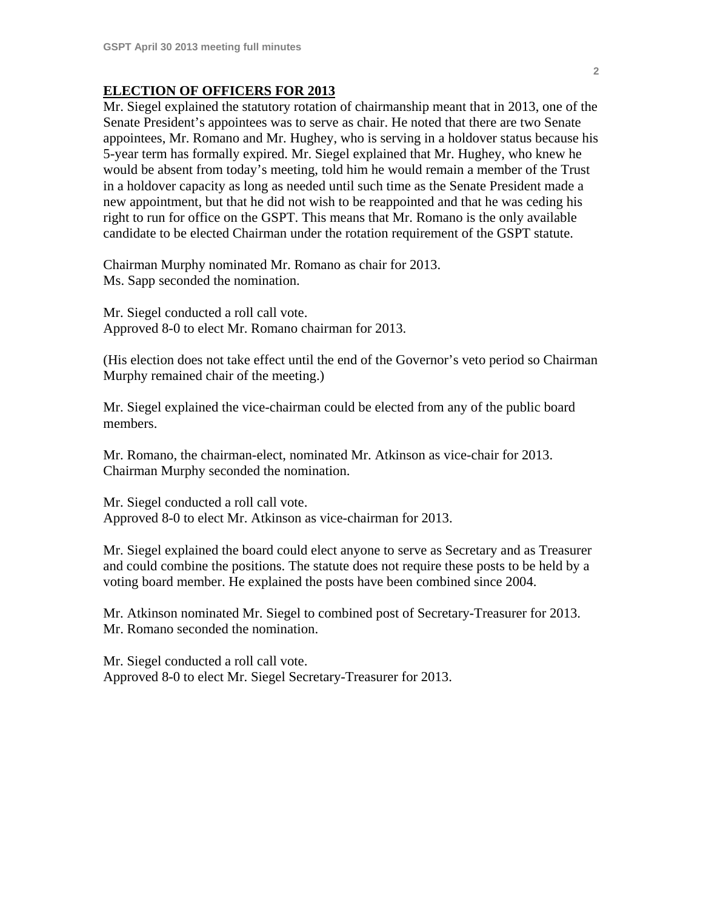### **ELECTION OF OFFICERS FOR 2013**

Mr. Siegel explained the statutory rotation of chairmanship meant that in 2013, one of the Senate President's appointees was to serve as chair. He noted that there are two Senate appointees, Mr. Romano and Mr. Hughey, who is serving in a holdover status because his 5-year term has formally expired. Mr. Siegel explained that Mr. Hughey, who knew he would be absent from today's meeting, told him he would remain a member of the Trust in a holdover capacity as long as needed until such time as the Senate President made a new appointment, but that he did not wish to be reappointed and that he was ceding his right to run for office on the GSPT. This means that Mr. Romano is the only available candidate to be elected Chairman under the rotation requirement of the GSPT statute.

Chairman Murphy nominated Mr. Romano as chair for 2013. Ms. Sapp seconded the nomination.

Mr. Siegel conducted a roll call vote. Approved 8-0 to elect Mr. Romano chairman for 2013.

(His election does not take effect until the end of the Governor's veto period so Chairman Murphy remained chair of the meeting.)

Mr. Siegel explained the vice-chairman could be elected from any of the public board members.

Mr. Romano, the chairman-elect, nominated Mr. Atkinson as vice-chair for 2013. Chairman Murphy seconded the nomination.

Mr. Siegel conducted a roll call vote. Approved 8-0 to elect Mr. Atkinson as vice-chairman for 2013.

Mr. Siegel explained the board could elect anyone to serve as Secretary and as Treasurer and could combine the positions. The statute does not require these posts to be held by a voting board member. He explained the posts have been combined since 2004.

Mr. Atkinson nominated Mr. Siegel to combined post of Secretary-Treasurer for 2013. Mr. Romano seconded the nomination.

Mr. Siegel conducted a roll call vote. Approved 8-0 to elect Mr. Siegel Secretary-Treasurer for 2013.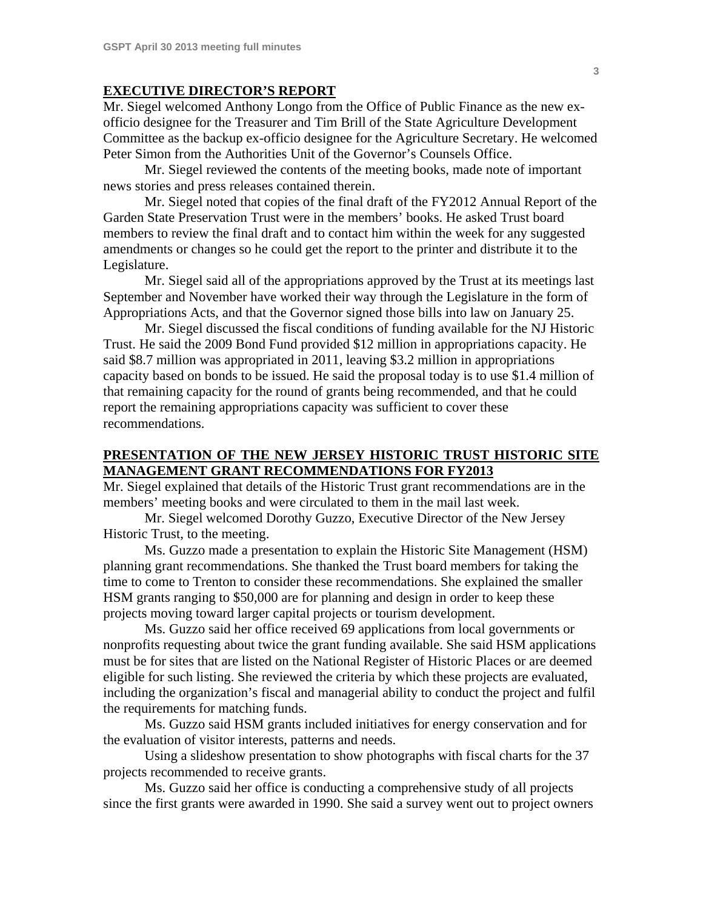#### **EXECUTIVE DIRECTOR'S REPORT**

Mr. Siegel welcomed Anthony Longo from the Office of Public Finance as the new exofficio designee for the Treasurer and Tim Brill of the State Agriculture Development Committee as the backup ex-officio designee for the Agriculture Secretary. He welcomed Peter Simon from the Authorities Unit of the Governor's Counsels Office.

Mr. Siegel reviewed the contents of the meeting books, made note of important news stories and press releases contained therein.

Mr. Siegel noted that copies of the final draft of the FY2012 Annual Report of the Garden State Preservation Trust were in the members' books. He asked Trust board members to review the final draft and to contact him within the week for any suggested amendments or changes so he could get the report to the printer and distribute it to the Legislature.

Mr. Siegel said all of the appropriations approved by the Trust at its meetings last September and November have worked their way through the Legislature in the form of Appropriations Acts, and that the Governor signed those bills into law on January 25.

Mr. Siegel discussed the fiscal conditions of funding available for the NJ Historic Trust. He said the 2009 Bond Fund provided \$12 million in appropriations capacity. He said \$8.7 million was appropriated in 2011, leaving \$3.2 million in appropriations capacity based on bonds to be issued. He said the proposal today is to use \$1.4 million of that remaining capacity for the round of grants being recommended, and that he could report the remaining appropriations capacity was sufficient to cover these recommendations.

# **PRESENTATION OF THE NEW JERSEY HISTORIC TRUST HISTORIC SITE MANAGEMENT GRANT RECOMMENDATIONS FOR FY2013**

Mr. Siegel explained that details of the Historic Trust grant recommendations are in the members' meeting books and were circulated to them in the mail last week.

Mr. Siegel welcomed Dorothy Guzzo, Executive Director of the New Jersey Historic Trust, to the meeting.

Ms. Guzzo made a presentation to explain the Historic Site Management (HSM) planning grant recommendations. She thanked the Trust board members for taking the time to come to Trenton to consider these recommendations. She explained the smaller HSM grants ranging to \$50,000 are for planning and design in order to keep these projects moving toward larger capital projects or tourism development.

Ms. Guzzo said her office received 69 applications from local governments or nonprofits requesting about twice the grant funding available. She said HSM applications must be for sites that are listed on the National Register of Historic Places or are deemed eligible for such listing. She reviewed the criteria by which these projects are evaluated, including the organization's fiscal and managerial ability to conduct the project and fulfil the requirements for matching funds.

Ms. Guzzo said HSM grants included initiatives for energy conservation and for the evaluation of visitor interests, patterns and needs.

Using a slideshow presentation to show photographs with fiscal charts for the 37 projects recommended to receive grants.

Ms. Guzzo said her office is conducting a comprehensive study of all projects since the first grants were awarded in 1990. She said a survey went out to project owners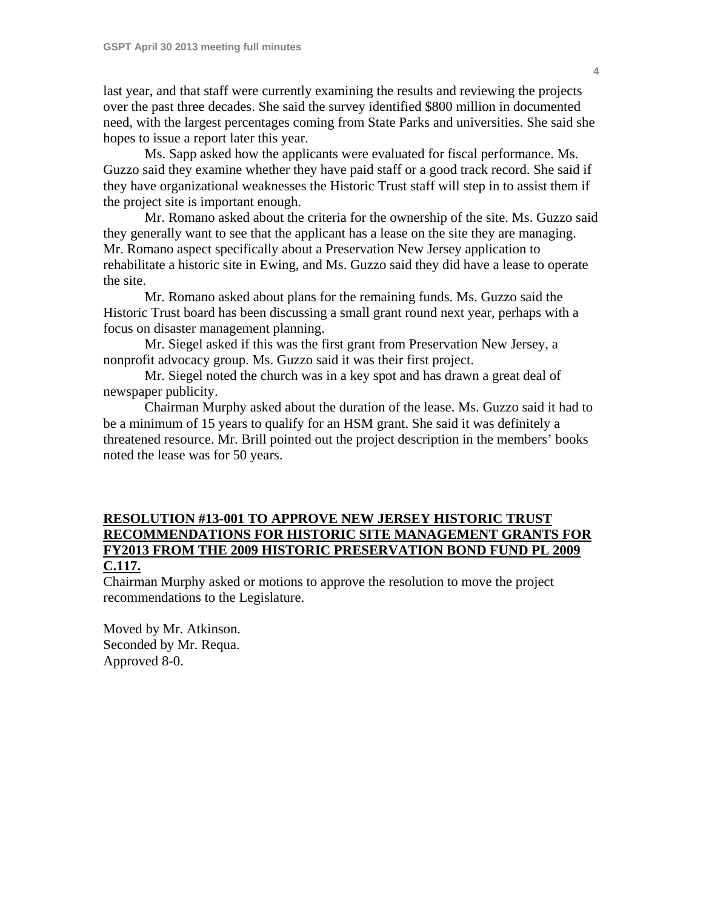last year, and that staff were currently examining the results and reviewing the projects over the past three decades. She said the survey identified \$800 million in documented need, with the largest percentages coming from State Parks and universities. She said she hopes to issue a report later this year.

 Ms. Sapp asked how the applicants were evaluated for fiscal performance. Ms. Guzzo said they examine whether they have paid staff or a good track record. She said if they have organizational weaknesses the Historic Trust staff will step in to assist them if the project site is important enough.

 Mr. Romano asked about the criteria for the ownership of the site. Ms. Guzzo said they generally want to see that the applicant has a lease on the site they are managing. Mr. Romano aspect specifically about a Preservation New Jersey application to rehabilitate a historic site in Ewing, and Ms. Guzzo said they did have a lease to operate the site.

 Mr. Romano asked about plans for the remaining funds. Ms. Guzzo said the Historic Trust board has been discussing a small grant round next year, perhaps with a focus on disaster management planning.

 Mr. Siegel asked if this was the first grant from Preservation New Jersey, a nonprofit advocacy group. Ms. Guzzo said it was their first project.

 Mr. Siegel noted the church was in a key spot and has drawn a great deal of newspaper publicity.

 Chairman Murphy asked about the duration of the lease. Ms. Guzzo said it had to be a minimum of 15 years to qualify for an HSM grant. She said it was definitely a threatened resource. Mr. Brill pointed out the project description in the members' books noted the lease was for 50 years.

# **RESOLUTION #13-001 TO APPROVE NEW JERSEY HISTORIC TRUST RECOMMENDATIONS FOR HISTORIC SITE MANAGEMENT GRANTS FOR FY2013 FROM THE 2009 HISTORIC PRESERVATION BOND FUND PL 2009 C.117.**

Chairman Murphy asked or motions to approve the resolution to move the project recommendations to the Legislature.

Moved by Mr. Atkinson. Seconded by Mr. Requa. Approved 8-0.